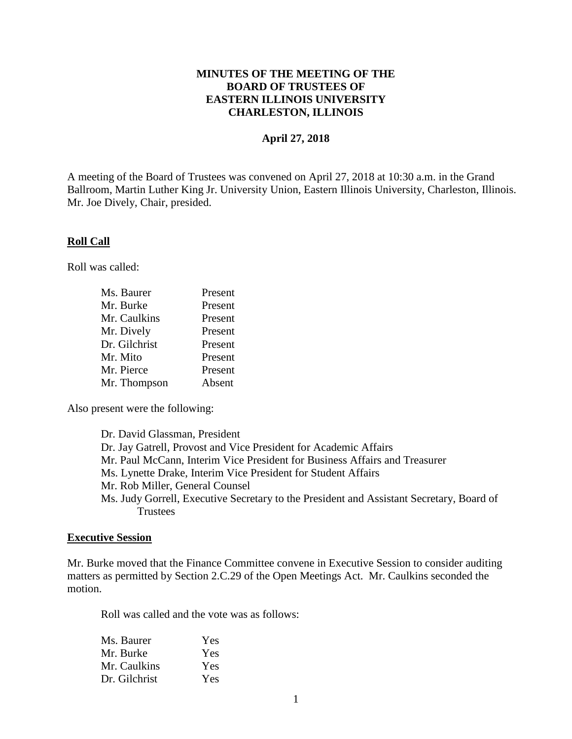# **MINUTES OF THE MEETING OF THE BOARD OF TRUSTEES OF EASTERN ILLINOIS UNIVERSITY CHARLESTON, ILLINOIS**

#### **April 27, 2018**

A meeting of the Board of Trustees was convened on April 27, 2018 at 10:30 a.m. in the Grand Ballroom, Martin Luther King Jr. University Union, Eastern Illinois University, Charleston, Illinois. Mr. Joe Dively, Chair, presided.

#### **Roll Call**

Roll was called:

| Ms. Baurer    | Present |
|---------------|---------|
| Mr. Burke     | Present |
| Mr. Caulkins  | Present |
| Mr. Dively    | Present |
| Dr. Gilchrist | Present |
| Mr. Mito      | Present |
| Mr. Pierce    | Present |
| Mr. Thompson  | Absent  |

Also present were the following:

Dr. David Glassman, President Dr. Jay Gatrell, Provost and Vice President for Academic Affairs Mr. Paul McCann, Interim Vice President for Business Affairs and Treasurer Ms. Lynette Drake, Interim Vice President for Student Affairs Mr. Rob Miller, General Counsel Ms. Judy Gorrell, Executive Secretary to the President and Assistant Secretary, Board of **Trustees** 

#### **Executive Session**

Mr. Burke moved that the Finance Committee convene in Executive Session to consider auditing matters as permitted by Section 2.C.29 of the Open Meetings Act. Mr. Caulkins seconded the motion.

| Ms. Baurer    | Yes |
|---------------|-----|
| Mr. Burke     | Yes |
| Mr. Caulkins  | Yes |
| Dr. Gilchrist | Yes |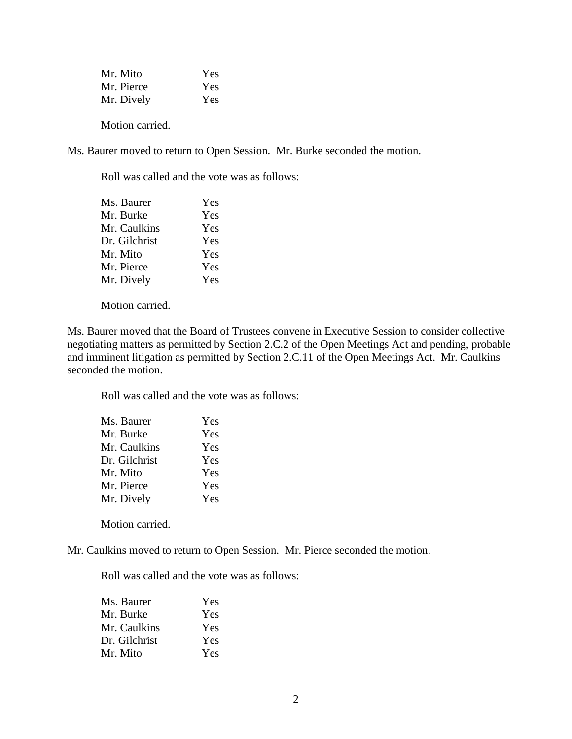| Mr. Mito   | Yes |
|------------|-----|
| Mr. Pierce | Yes |
| Mr. Dively | Yes |

Ms. Baurer moved to return to Open Session. Mr. Burke seconded the motion.

Roll was called and the vote was as follows:

| Ms. Baurer    | Yes |
|---------------|-----|
| Mr. Burke     | Yes |
| Mr. Caulkins  | Yes |
| Dr. Gilchrist | Yes |
| Mr. Mito      | Yes |
| Mr. Pierce    | Yes |
| Mr. Dively    | Yes |
|               |     |

Motion carried.

Ms. Baurer moved that the Board of Trustees convene in Executive Session to consider collective negotiating matters as permitted by Section 2.C.2 of the Open Meetings Act and pending, probable and imminent litigation as permitted by Section 2.C.11 of the Open Meetings Act. Mr. Caulkins seconded the motion.

Roll was called and the vote was as follows:

| Ms. Baurer    | Yes |
|---------------|-----|
| Mr. Burke     | Yes |
| Mr. Caulkins  | Yes |
| Dr. Gilchrist | Yes |
| Mr. Mito      | Yes |
| Mr. Pierce    | Yes |
| Mr. Dively    | Yes |
|               |     |

Motion carried.

Mr. Caulkins moved to return to Open Session. Mr. Pierce seconded the motion.

| Ms. Baurer    | Yes |
|---------------|-----|
| Mr. Burke     | Yes |
| Mr. Caulkins  | Yes |
| Dr. Gilchrist | Yes |
| Mr. Mito      | Yes |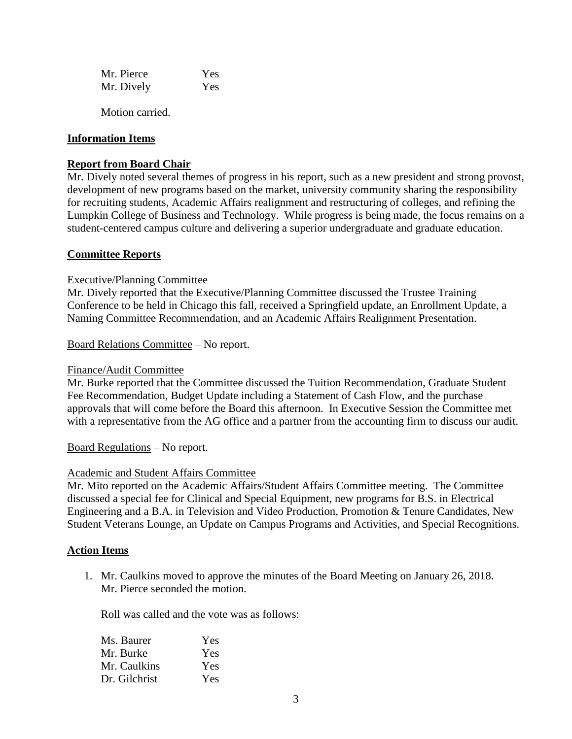| Mr. Pierce | Yes |
|------------|-----|
| Mr. Dively | Yes |

## **Information Items**

## **Report from Board Chair**

Mr. Dively noted several themes of progress in his report, such as a new president and strong provost, development of new programs based on the market, university community sharing the responsibility for recruiting students, Academic Affairs realignment and restructuring of colleges, and refining the Lumpkin College of Business and Technology. While progress is being made, the focus remains on a student-centered campus culture and delivering a superior undergraduate and graduate education.

## **Committee Reports**

## Executive/Planning Committee

Mr. Dively reported that the Executive/Planning Committee discussed the Trustee Training Conference to be held in Chicago this fall, received a Springfield update, an Enrollment Update, a Naming Committee Recommendation, and an Academic Affairs Realignment Presentation.

Board Relations Committee – No report.

#### Finance/Audit Committee

Mr. Burke reported that the Committee discussed the Tuition Recommendation, Graduate Student Fee Recommendation, Budget Update including a Statement of Cash Flow, and the purchase approvals that will come before the Board this afternoon. In Executive Session the Committee met with a representative from the AG office and a partner from the accounting firm to discuss our audit.

Board Regulations – No report.

## Academic and Student Affairs Committee

Mr. Mito reported on the Academic Affairs/Student Affairs Committee meeting. The Committee discussed a special fee for Clinical and Special Equipment, new programs for B.S. in Electrical Engineering and a B.A. in Television and Video Production, Promotion & Tenure Candidates, New Student Veterans Lounge, an Update on Campus Programs and Activities, and Special Recognitions.

## **Action Items**

1. Mr. Caulkins moved to approve the minutes of the Board Meeting on January 26, 2018. Mr. Pierce seconded the motion.

| Ms. Baurer    | Yes |
|---------------|-----|
| Mr. Burke     | Yes |
| Mr. Caulkins  | Yes |
| Dr. Gilchrist | Yes |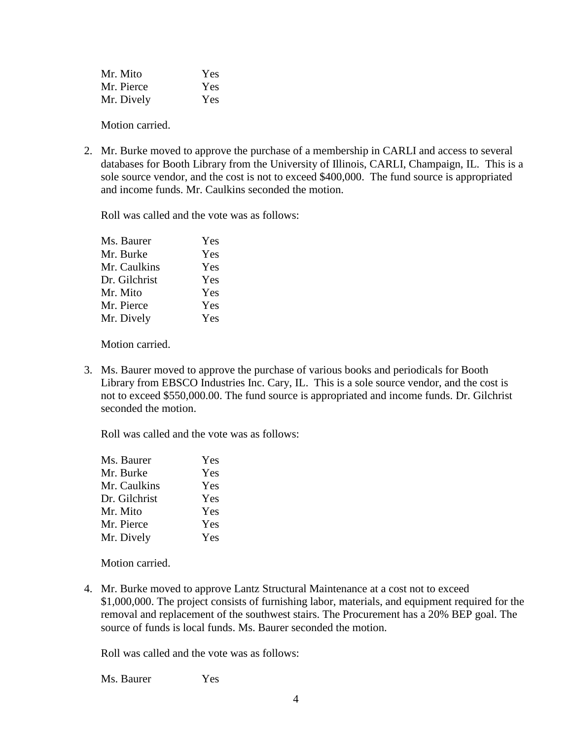| Mr. Mito   | Yes |
|------------|-----|
| Mr. Pierce | Yes |
| Mr. Dively | Yes |

2. Mr. Burke moved to approve the purchase of a membership in CARLI and access to several databases for Booth Library from the University of Illinois, CARLI, Champaign, IL. This is a sole source vendor, and the cost is not to exceed \$400,000. The fund source is appropriated and income funds. Mr. Caulkins seconded the motion.

Roll was called and the vote was as follows:

| Ms. Baurer    | Yes |
|---------------|-----|
| Mr. Burke     | Yes |
| Mr. Caulkins  | Yes |
| Dr. Gilchrist | Yes |
| Mr. Mito      | Yes |
| Mr. Pierce    | Yes |
| Mr. Dively    | Yes |
|               |     |

Motion carried.

3. Ms. Baurer moved to approve the purchase of various books and periodicals for Booth Library from EBSCO Industries Inc. Cary, IL. This is a sole source vendor, and the cost is not to exceed \$550,000.00. The fund source is appropriated and income funds. Dr. Gilchrist seconded the motion.

Roll was called and the vote was as follows:

| Ms. Baurer    | Yes |
|---------------|-----|
| Mr. Burke     | Yes |
| Mr. Caulkins  | Yes |
| Dr. Gilchrist | Yes |
| Mr. Mito      | Yes |
| Mr. Pierce    | Yes |
| Mr. Dively    | Yes |

Motion carried.

4. Mr. Burke moved to approve Lantz Structural Maintenance at a cost not to exceed \$1,000,000. The project consists of furnishing labor, materials, and equipment required for the removal and replacement of the southwest stairs. The Procurement has a 20% BEP goal. The source of funds is local funds. Ms. Baurer seconded the motion.

Roll was called and the vote was as follows:

Ms. Baurer Yes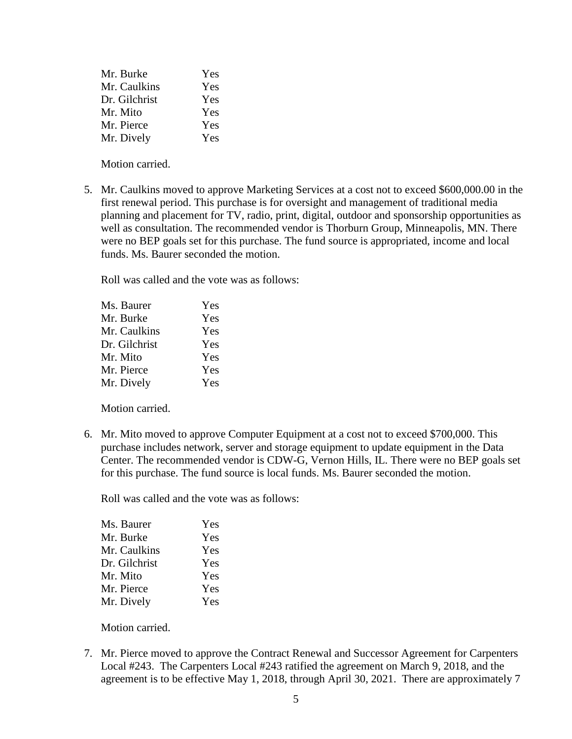| Mr. Burke     | Yes |
|---------------|-----|
| Mr. Caulkins  | Yes |
| Dr. Gilchrist | Yes |
| Mr. Mito      | Yes |
| Mr. Pierce    | Yes |
| Mr. Dively    | Yes |

5. Mr. Caulkins moved to approve Marketing Services at a cost not to exceed \$600,000.00 in the first renewal period. This purchase is for oversight and management of traditional media planning and placement for TV, radio, print, digital, outdoor and sponsorship opportunities as well as consultation. The recommended vendor is Thorburn Group, Minneapolis, MN. There were no BEP goals set for this purchase. The fund source is appropriated, income and local funds. Ms. Baurer seconded the motion.

Roll was called and the vote was as follows:

| Ms. Baurer    | Yes |
|---------------|-----|
| Mr. Burke     | Yes |
| Mr. Caulkins  | Yes |
| Dr. Gilchrist | Yes |
| Mr. Mito      | Yes |
| Mr. Pierce    | Yes |
| Mr. Dively    | Yes |

Motion carried.

6. Mr. Mito moved to approve Computer Equipment at a cost not to exceed \$700,000. This purchase includes network, server and storage equipment to update equipment in the Data Center. The recommended vendor is CDW-G, Vernon Hills, IL. There were no BEP goals set for this purchase. The fund source is local funds. Ms. Baurer seconded the motion.

Roll was called and the vote was as follows:

| Ms. Baurer    | Yes |
|---------------|-----|
| Mr. Burke     | Yes |
| Mr. Caulkins  | Yes |
| Dr. Gilchrist | Yes |
| Mr. Mito      | Yes |
| Mr. Pierce    | Yes |
| Mr. Dively    | Yes |

Motion carried.

7. Mr. Pierce moved to approve the Contract Renewal and Successor Agreement for Carpenters Local #243. The Carpenters Local #243 ratified the agreement on March 9, 2018, and the agreement is to be effective May 1, 2018, through April 30, 2021. There are approximately 7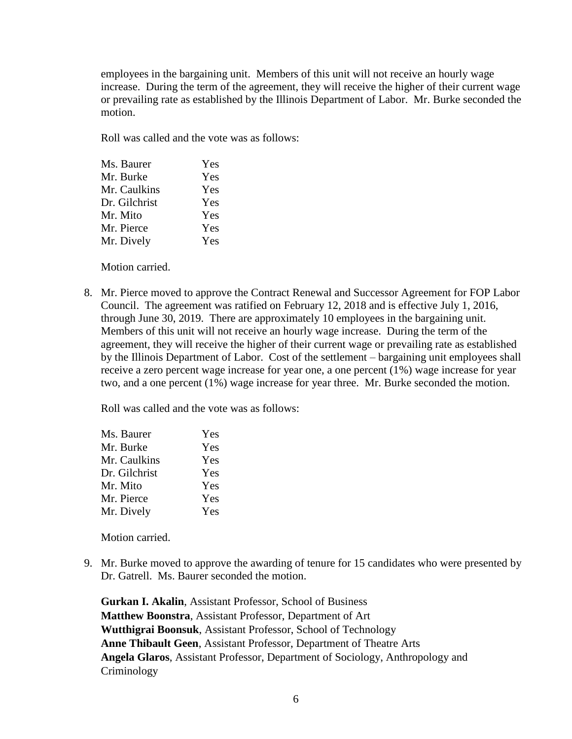employees in the bargaining unit. Members of this unit will not receive an hourly wage increase. During the term of the agreement, they will receive the higher of their current wage or prevailing rate as established by the Illinois Department of Labor. Mr. Burke seconded the motion.

Roll was called and the vote was as follows:

| Ms. Baurer    | Yes |
|---------------|-----|
| Mr. Burke     | Yes |
| Mr. Caulkins  | Yes |
| Dr. Gilchrist | Yes |
| Mr. Mito      | Yes |
| Mr. Pierce    | Yes |
| Mr. Dively    | Yes |
|               |     |

Motion carried.

8. Mr. Pierce moved to approve the Contract Renewal and Successor Agreement for FOP Labor Council. The agreement was ratified on February 12, 2018 and is effective July 1, 2016, through June 30, 2019. There are approximately 10 employees in the bargaining unit. Members of this unit will not receive an hourly wage increase. During the term of the agreement, they will receive the higher of their current wage or prevailing rate as established by the Illinois Department of Labor. Cost of the settlement – bargaining unit employees shall receive a zero percent wage increase for year one, a one percent (1%) wage increase for year two, and a one percent (1%) wage increase for year three. Mr. Burke seconded the motion.

Roll was called and the vote was as follows:

| Ms. Baurer    | Yes |
|---------------|-----|
| Mr. Burke     | Yes |
| Mr. Caulkins  | Yes |
| Dr. Gilchrist | Yes |
| Mr. Mito      | Yes |
| Mr. Pierce    | Yes |
| Mr. Dively    | Yes |

Motion carried.

9. Mr. Burke moved to approve the awarding of tenure for 15 candidates who were presented by Dr. Gatrell. Ms. Baurer seconded the motion.

**Gurkan I. Akalin**, Assistant Professor, School of Business **Matthew Boonstra**, Assistant Professor, Department of Art **Wutthigrai Boonsuk**, Assistant Professor, School of Technology **Anne Thibault Geen**, Assistant Professor, Department of Theatre Arts **Angela Glaros**, Assistant Professor, Department of Sociology, Anthropology and Criminology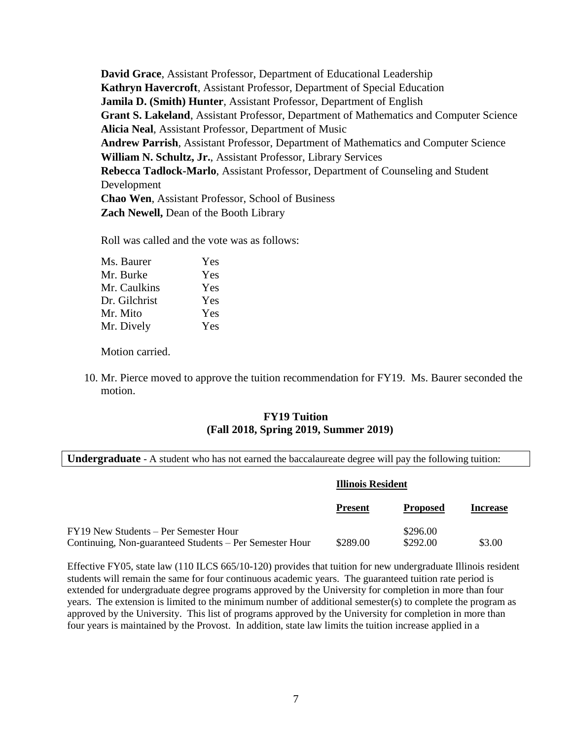**David Grace**, Assistant Professor, Department of Educational Leadership **Kathryn Havercroft**, Assistant Professor, Department of Special Education **Jamila D. (Smith) Hunter**, Assistant Professor, Department of English **Grant S. Lakeland**, Assistant Professor, Department of Mathematics and Computer Science **Alicia Neal**, Assistant Professor, Department of Music **Andrew Parrish**, Assistant Professor, Department of Mathematics and Computer Science **William N. Schultz, Jr.**, Assistant Professor, Library Services **Rebecca Tadlock-Marlo**, Assistant Professor, Department of Counseling and Student Development **Chao Wen**, Assistant Professor, School of Business **Zach Newell,** Dean of the Booth Library

Roll was called and the vote was as follows:

| Ms. Baurer    | Yes |
|---------------|-----|
| Mr. Burke     | Yes |
| Mr. Caulkins  | Yes |
| Dr. Gilchrist | Yes |
| Mr. Mito      | Yes |
| Mr. Dively    | Yes |

Motion carried.

10. Mr. Pierce moved to approve the tuition recommendation for FY19. Ms. Baurer seconded the motion.

# **FY19 Tuition (Fall 2018, Spring 2019, Summer 2019)**

**Undergraduate** - A student who has not earned the baccalaureate degree will pay the following tuition:

|                                                                                                  | <b>Illinois Resident</b> |                      |                 |
|--------------------------------------------------------------------------------------------------|--------------------------|----------------------|-----------------|
|                                                                                                  | <b>Present</b>           | <b>Proposed</b>      | <b>Increase</b> |
| FY19 New Students – Per Semester Hour<br>Continuing, Non-guaranteed Students – Per Semester Hour | \$289.00                 | \$296.00<br>\$292.00 | \$3.00          |

Effective FY05, state law (110 ILCS 665/10-120) provides that tuition for new undergraduate Illinois resident students will remain the same for four continuous academic years. The guaranteed tuition rate period is extended for undergraduate degree programs approved by the University for completion in more than four years. The extension is limited to the minimum number of additional semester(s) to complete the program as approved by the University. This list of programs approved by the University for completion in more than four years is maintained by the Provost. In addition, state law limits the tuition increase applied in a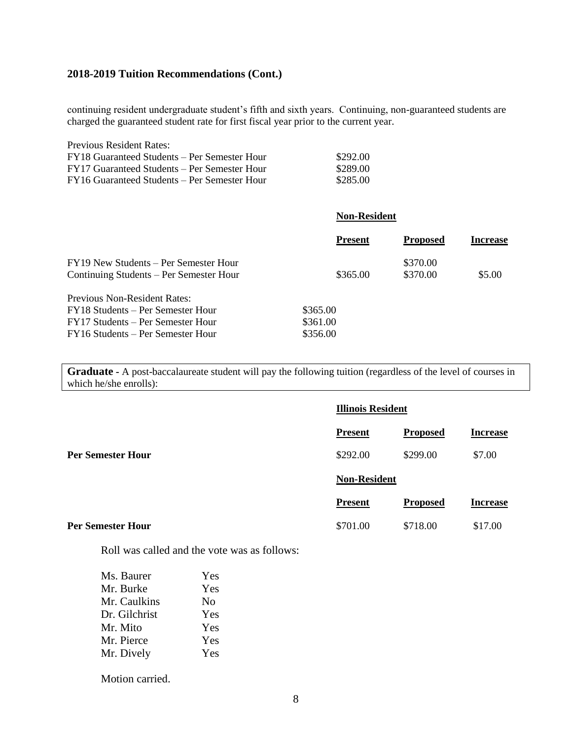# **2018-2019 Tuition Recommendations (Cont.)**

continuing resident undergraduate student's fifth and sixth years. Continuing, non-guaranteed students are charged the guaranteed student rate for first fiscal year prior to the current year.

| Previous Resident Rates:                     |          |
|----------------------------------------------|----------|
| FY18 Guaranteed Students – Per Semester Hour | \$292.00 |
| FY17 Guaranteed Students – Per Semester Hour | \$289.00 |
| FY16 Guaranteed Students – Per Semester Hour | \$285.00 |
|                                              |          |

#### **Non-Resident**

|                                                                                                                                                    | <b>Present</b>                   | <b>Proposed</b>      | <b>Increase</b> |
|----------------------------------------------------------------------------------------------------------------------------------------------------|----------------------------------|----------------------|-----------------|
| FY19 New Students – Per Semester Hour<br>Continuing Students – Per Semester Hour                                                                   | \$365.00                         | \$370.00<br>\$370.00 | \$5.00          |
| <b>Previous Non-Resident Rates:</b><br>FY18 Students – Per Semester Hour<br>FY17 Students – Per Semester Hour<br>FY16 Students – Per Semester Hour | \$365.00<br>\$361.00<br>\$356.00 |                      |                 |

**Graduate -** A post-baccalaureate student will pay the following tuition (regardless of the level of courses in which he/she enrolls):

|                          | <b>Illinois Resident</b> |                 |                 |
|--------------------------|--------------------------|-----------------|-----------------|
|                          | <b>Present</b>           | <b>Proposed</b> | <b>Increase</b> |
| <b>Per Semester Hour</b> | \$292.00                 | \$299.00        | \$7.00          |
|                          | <b>Non-Resident</b>      |                 |                 |
|                          | <b>Present</b>           | <b>Proposed</b> | <b>Increase</b> |
| <b>Per Semester Hour</b> | \$701.00                 | \$718.00        | \$17.00         |

Roll was called and the vote was as follows:

| Ms. Baurer    | Yes |
|---------------|-----|
| Mr. Burke     | Yes |
| Mr. Caulkins  | No. |
| Dr. Gilchrist | Yes |
| Mr. Mito      | Yes |
| Mr. Pierce    | Yes |
| Mr. Dively    | Yes |
|               |     |

Motion carried.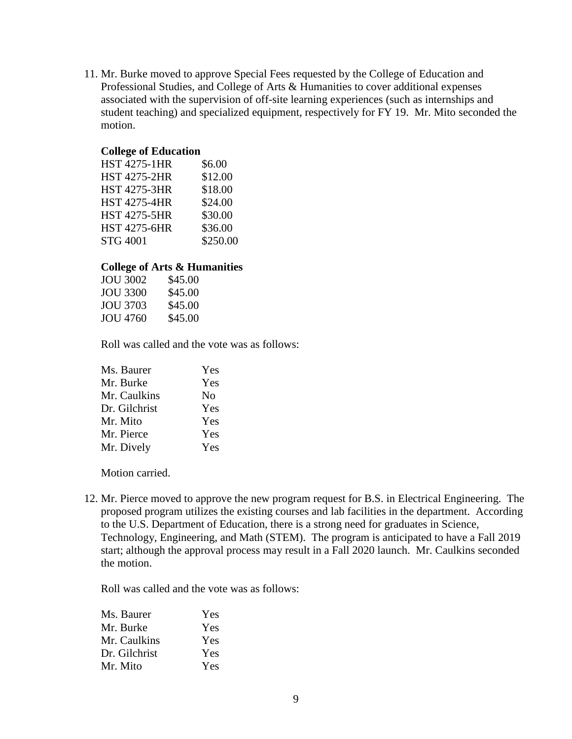11. Mr. Burke moved to approve Special Fees requested by the College of Education and Professional Studies, and College of Arts & Humanities to cover additional expenses associated with the supervision of off-site learning experiences (such as internships and student teaching) and specialized equipment, respectively for FY 19. Mr. Mito seconded the motion.

#### **College of Education**

| <b>HST 4275-1HR</b> | \$6.00   |
|---------------------|----------|
| <b>HST 4275-2HR</b> | \$12.00  |
| <b>HST 4275-3HR</b> | \$18.00  |
| <b>HST 4275-4HR</b> | \$24.00  |
| <b>HST 4275-5HR</b> | \$30.00  |
| <b>HST 4275-6HR</b> | \$36.00  |
| <b>STG 4001</b>     | \$250.00 |
|                     |          |

## **College of Arts & Humanities**

| \$45.00 |
|---------|
| \$45.00 |
| \$45.00 |
| \$45.00 |
|         |

Roll was called and the vote was as follows:

| Ms. Baurer    | Yes            |
|---------------|----------------|
| Mr. Burke     | Yes            |
| Mr. Caulkins  | N <sub>0</sub> |
| Dr. Gilchrist | Yes            |
| Mr. Mito      | Yes            |
| Mr. Pierce    | Yes            |
| Mr. Dively    | Yes            |

Motion carried.

12. Mr. Pierce moved to approve the new program request for B.S. in Electrical Engineering. The proposed program utilizes the existing courses and lab facilities in the department. According to the U.S. Department of Education, there is a strong need for graduates in Science, Technology, Engineering, and Math (STEM). The program is anticipated to have a Fall 2019 start; although the approval process may result in a Fall 2020 launch. Mr. Caulkins seconded the motion.

| Ms. Baurer    | Yes |
|---------------|-----|
| Mr. Burke     | Yes |
| Mr. Caulkins  | Yes |
| Dr. Gilchrist | Yes |
| Mr. Mito      | Yes |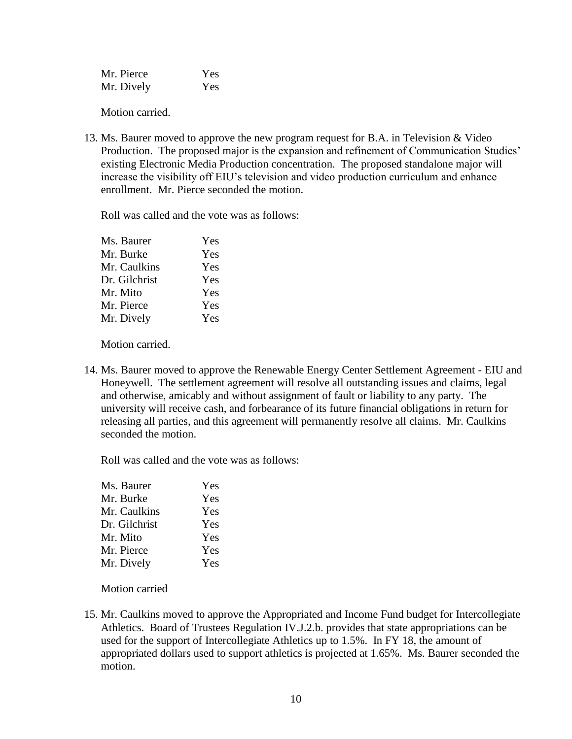| Mr. Pierce | Yes |
|------------|-----|
| Mr. Dively | Yes |

13. Ms. Baurer moved to approve the new program request for B.A. in Television & Video Production. The proposed major is the expansion and refinement of Communication Studies' existing Electronic Media Production concentration. The proposed standalone major will increase the visibility off EIU's television and video production curriculum and enhance enrollment. Mr. Pierce seconded the motion.

Roll was called and the vote was as follows:

| Ms. Baurer    | Yes |
|---------------|-----|
| Mr. Burke     | Yes |
| Mr. Caulkins  | Yes |
| Dr. Gilchrist | Yes |
| Mr. Mito      | Yes |
| Mr. Pierce    | Yes |
| Mr. Dively    | Yes |
|               |     |

Motion carried.

14. Ms. Baurer moved to approve the Renewable Energy Center Settlement Agreement - EIU and Honeywell. The settlement agreement will resolve all outstanding issues and claims, legal and otherwise, amicably and without assignment of fault or liability to any party. The university will receive cash, and forbearance of its future financial obligations in return for releasing all parties, and this agreement will permanently resolve all claims. Mr. Caulkins seconded the motion.

Roll was called and the vote was as follows:

| Ms. Baurer    | Yes |
|---------------|-----|
| Mr. Burke     | Yes |
| Mr. Caulkins  | Yes |
| Dr. Gilchrist | Yes |
| Mr. Mito      | Yes |
| Mr. Pierce    | Yes |
| Mr. Dively    | Yes |

Motion carried

15. Mr. Caulkins moved to approve the Appropriated and Income Fund budget for Intercollegiate Athletics. Board of Trustees Regulation IV.J.2.b. provides that state appropriations can be used for the support of Intercollegiate Athletics up to 1.5%. In FY 18, the amount of appropriated dollars used to support athletics is projected at 1.65%. Ms. Baurer seconded the motion.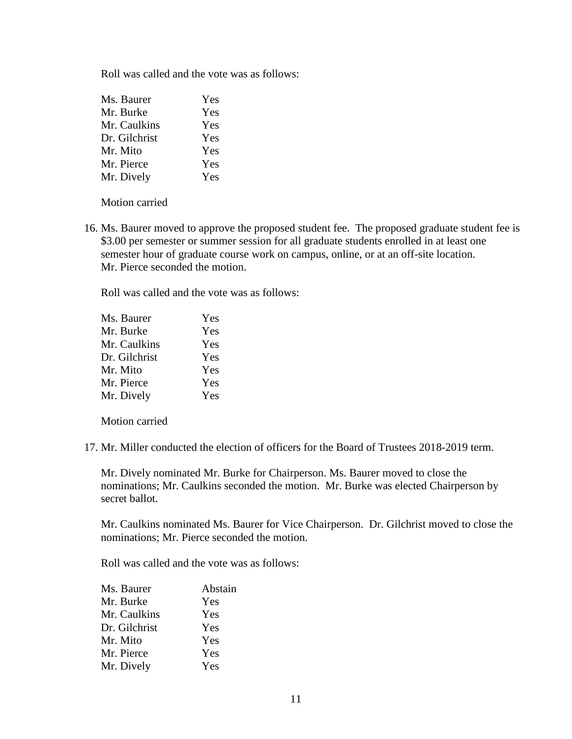Roll was called and the vote was as follows:

| Ms. Baurer    | Yes |
|---------------|-----|
| Mr. Burke     | Yes |
| Mr. Caulkins  | Yes |
| Dr. Gilchrist | Yes |
| Mr. Mito      | Yes |
| Mr. Pierce    | Yes |
| Mr. Dively    | Yes |

Motion carried

16. Ms. Baurer moved to approve the proposed student fee. The proposed graduate student fee is \$3.00 per semester or summer session for all graduate students enrolled in at least one semester hour of graduate course work on campus, online, or at an off-site location. Mr. Pierce seconded the motion.

Roll was called and the vote was as follows:

| Ms. Baurer    | Yes |
|---------------|-----|
| Mr. Burke     | Yes |
| Mr. Caulkins  | Yes |
| Dr. Gilchrist | Yes |
| Mr. Mito      | Yes |
| Mr. Pierce    | Yes |
| Mr. Dively    | Yes |

Motion carried

17. Mr. Miller conducted the election of officers for the Board of Trustees 2018-2019 term.

Mr. Dively nominated Mr. Burke for Chairperson. Ms. Baurer moved to close the nominations; Mr. Caulkins seconded the motion. Mr. Burke was elected Chairperson by secret ballot.

Mr. Caulkins nominated Ms. Baurer for Vice Chairperson. Dr. Gilchrist moved to close the nominations; Mr. Pierce seconded the motion.

| Ms. Baurer    | Abstain |
|---------------|---------|
| Mr. Burke     | Yes     |
| Mr. Caulkins  | Yes     |
| Dr. Gilchrist | Yes     |
| Mr. Mito      | Yes     |
| Mr. Pierce    | Yes     |
| Mr. Dively    | Yes     |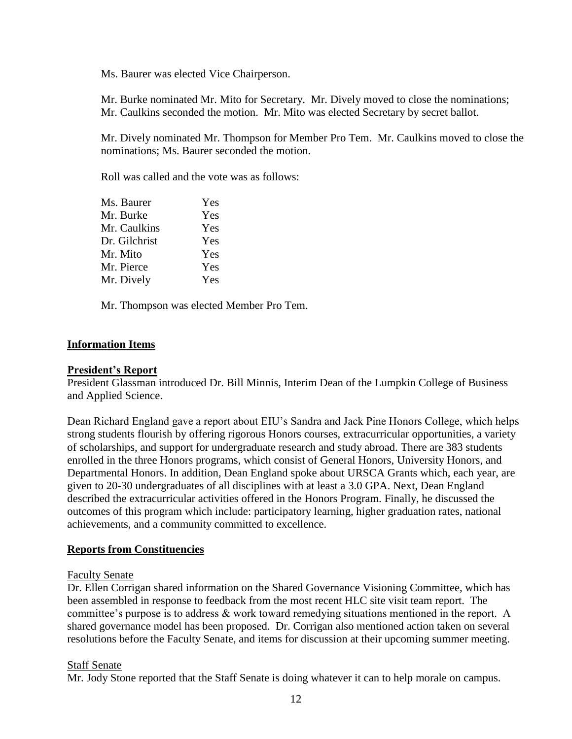Ms. Baurer was elected Vice Chairperson.

Mr. Burke nominated Mr. Mito for Secretary. Mr. Dively moved to close the nominations; Mr. Caulkins seconded the motion. Mr. Mito was elected Secretary by secret ballot.

Mr. Dively nominated Mr. Thompson for Member Pro Tem. Mr. Caulkins moved to close the nominations; Ms. Baurer seconded the motion.

Roll was called and the vote was as follows:

| Ms. Baurer    | Yes |
|---------------|-----|
| Mr. Burke     | Yes |
| Mr. Caulkins  | Yes |
| Dr. Gilchrist | Yes |
| Mr. Mito      | Yes |
| Mr. Pierce    | Yes |
| Mr. Dively    | Yes |

Mr. Thompson was elected Member Pro Tem.

#### **Information Items**

#### **President's Report**

President Glassman introduced Dr. Bill Minnis, Interim Dean of the Lumpkin College of Business and Applied Science.

Dean Richard England gave a report about EIU's Sandra and Jack Pine Honors College, which helps strong students flourish by offering rigorous Honors courses, extracurricular opportunities, a variety of scholarships, and support for undergraduate research and study abroad. There are 383 students enrolled in the three Honors programs, which consist of General Honors, University Honors, and Departmental Honors. In addition, Dean England spoke about URSCA Grants which, each year, are given to 20-30 undergraduates of all disciplines with at least a 3.0 GPA. Next, Dean England described the extracurricular activities offered in the Honors Program. Finally, he discussed the outcomes of this program which include: participatory learning, higher graduation rates, national achievements, and a community committed to excellence.

## **Reports from Constituencies**

#### Faculty Senate

Dr. Ellen Corrigan shared information on the Shared Governance Visioning Committee, which has been assembled in response to feedback from the most recent HLC site visit team report. The committee's purpose is to address & work toward remedying situations mentioned in the report. A shared governance model has been proposed. Dr. Corrigan also mentioned action taken on several resolutions before the Faculty Senate, and items for discussion at their upcoming summer meeting.

## Staff Senate

Mr. Jody Stone reported that the Staff Senate is doing whatever it can to help morale on campus.